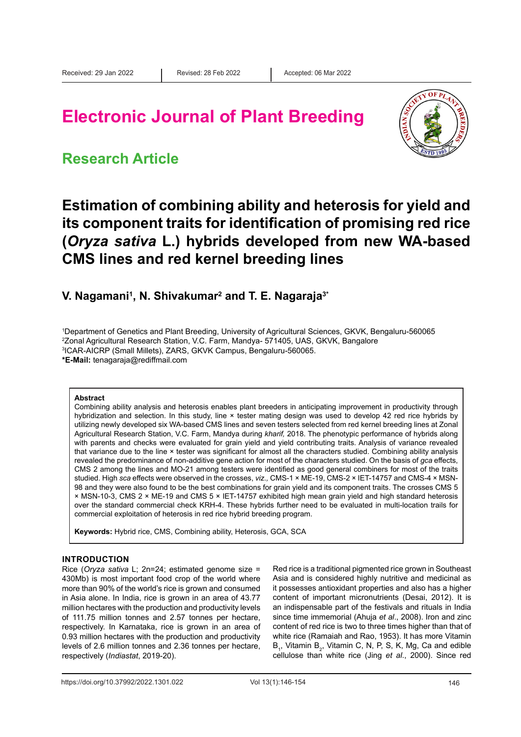# **Electronic Journal of Plant Breeding**



### **Research Article**

### **Estimation of combining ability and heterosis for yield and its component traits for identification of promising red rice (***Oryza sativa* **L.) hybrids developed from new WA-based CMS lines and red kernel breeding lines**

### **V. Nagamani1 , N. Shivakumar2 and T. E. Nagaraja3\***

 Department of Genetics and Plant Breeding, University of Agricultural Sciences, GKVK, Bengaluru-560065 Zonal Agricultural Research Station, V.C. Farm, Mandya- 571405, UAS, GKVK, Bangalore ICAR-AICRP (Small Millets), ZARS, GKVK Campus, Bengaluru-560065. **\*E-Mail:** tenagaraja@rediffmail.com

#### **Abstract**

Combining ability analysis and heterosis enables plant breeders in anticipating improvement in productivity through hybridization and selection. In this study, line × tester mating design was used to develop 42 red rice hybrids by utilizing newly developed six WA-based CMS lines and seven testers selected from red kernel breeding lines at Zonal Agricultural Research Station, V.C. Farm, Mandya during *kharif,* 2018. The phenotypic performance of hybrids along with parents and checks were evaluated for grain yield and yield contributing traits. Analysis of variance revealed that variance due to the line × tester was significant for almost all the characters studied. Combining ability analysis revealed the predominance of non-additive gene action for most of the characters studied. On the basis of *gca* effects, CMS 2 among the lines and MO-21 among testers were identified as good general combiners for most of the traits studied. High *sca* effects were observed in the crosses, *viz.,* CMS-1 × ME-19, CMS-2 × IET-14757 and CMS-4 × MSN-98 and they were also found to be the best combinations for grain yield and its component traits. The crosses CMS 5 × MSN-10-3, CMS 2 × ME-19 and CMS 5 × IET-14757 exhibited high mean grain yield and high standard heterosis over the standard commercial check KRH-4. These hybrids further need to be evaluated in multi-location trails for commercial exploitation of heterosis in red rice hybrid breeding program.

**Keywords:** Hybrid rice, CMS, Combining ability, Heterosis, GCA, SCA

#### **INTRODUCTION**

Rice (*Oryza sativa* L; 2n=24; estimated genome size = 430Mb) is most important food crop of the world where more than 90% of the world's rice is grown and consumed in Asia alone. In India, rice is grown in an area of 43.77 million hectares with the production and productivity levels of 111.75 million tonnes and 2.57 tonnes per hectare, respectively. In Karnataka, rice is grown in an area of 0.93 million hectares with the production and productivity levels of 2.6 million tonnes and 2.36 tonnes per hectare, respectively (*Indiastat*, 2019-20).

Red rice is a traditional pigmented rice grown in Southeast Asia and is considered highly nutritive and medicinal as it possesses antioxidant properties and also has a higher content of important micronutrients (Desai, 2012). It is an indispensable part of the festivals and rituals in India since time immemorial (Ahuja *et al*., 2008). Iron and zinc content of red rice is two to three times higher than that of white rice (Ramaiah and Rao, 1953). It has more Vitamin  $B_1$ , Vitamin  $B_2$ , Vitamin C, N, P, S, K, Mg, Ca and edible cellulose than white rice (Jing *et al*., 2000). Since red

https://doi.org/10.37992/2022.1301.022 Vol 13(1):146-154 Vol 13(1):146-154 146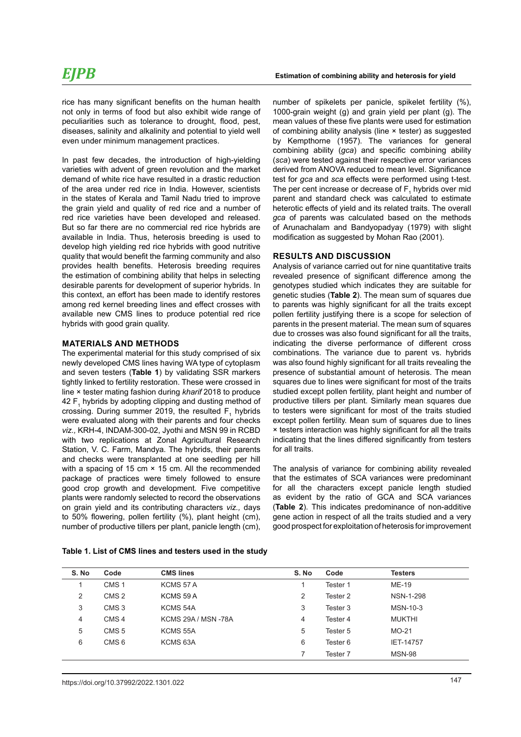rice has many significant benefits on the human health not only in terms of food but also exhibit wide range of peculiarities such as tolerance to drought, flood, pest, diseases, salinity and alkalinity and potential to yield well even under minimum management practices.

In past few decades, the introduction of high-yielding varieties with advent of green revolution and the market demand of white rice have resulted in a drastic reduction of the area under red rice in India. However, scientists in the states of Kerala and Tamil Nadu tried to improve the grain yield and quality of red rice and a number of red rice varieties have been developed and released. But so far there are no commercial red rice hybrids are available in India. Thus, heterosis breeding is used to develop high yielding red rice hybrids with good nutritive quality that would benefit the farming community and also provides health benefits. Heterosis breeding requires the estimation of combining ability that helps in selecting desirable parents for development of superior hybrids. In this context, an effort has been made to identify restores among red kernel breeding lines and effect crosses with available new CMS lines to produce potential red rice hybrids with good grain quality.

#### **MATERIALS AND METHODS**

The experimental material for this study comprised of six newly developed CMS lines having WA type of cytoplasm and seven testers (**Table 1**) by validating SSR markers tightly linked to fertility restoration. These were crossed in line × tester mating fashion during *kharif* 2018 to produce 42  $\mathsf{F}_1$  hybrids by adopting clipping and dusting method of crossing. During summer 2019, the resulted  $F_1$  hybrids were evaluated along with their parents and four checks *viz.,* KRH-4, INDAM-300-02, Jyothi and MSN 99 in RCBD with two replications at Zonal Agricultural Research Station, V. C. Farm, Mandya. The hybrids, their parents and checks were transplanted at one seedling per hill with a spacing of 15 cm × 15 cm. All the recommended package of practices were timely followed to ensure good crop growth and development. Five competitive plants were randomly selected to record the observations on grain yield and its contributing characters *viz.,* days to 50% flowering, pollen fertility (%), plant height (cm), number of productive tillers per plant, panicle length (cm),

number of spikelets per panicle, spikelet fertility (%), 1000-grain weight (g) and grain yield per plant (g). The mean values of these five plants were used for estimation of combining ability analysis (line × tester) as suggested by Kempthorne (1957). The variances for general combining ability (*gca*) and specific combining ability (*sca*) were tested against their respective error variances derived from ANOVA reduced to mean level. Significance test for *gca* and *sca* effects were performed using t-test. The per cent increase or decrease of  $\mathsf{F}_1$  hybrids over mid parent and standard check was calculated to estimate heterotic effects of yield and its related traits. The overall *gca* of parents was calculated based on the methods of Arunachalam and Bandyopadyay (1979) with slight modification as suggested by Mohan Rao (2001).

#### **RESULTS AND DISCUSSION**

Analysis of variance carried out for nine quantitative traits revealed presence of significant difference among the genotypes studied which indicates they are suitable for genetic studies (**Table 2**). The mean sum of squares due to parents was highly significant for all the traits except pollen fertility justifying there is a scope for selection of parents in the present material. The mean sum of squares due to crosses was also found significant for all the traits, indicating the diverse performance of different cross combinations. The variance due to parent vs. hybrids was also found highly significant for all traits revealing the presence of substantial amount of heterosis. The mean squares due to lines were significant for most of the traits studied except pollen fertility, plant height and number of productive tillers per plant. Similarly mean squares due to testers were significant for most of the traits studied except pollen fertility. Mean sum of squares due to lines × testers interaction was highly significant for all the traits indicating that the lines differed significantly from testers for all traits.

The analysis of variance for combining ability revealed that the estimates of SCA variances were predominant for all the characters except panicle length studied as evident by the ratio of GCA and SCA variances (**Table 2**). This indicates predominance of non-additive gene action in respect of all the traits studied and a very good prospect for exploitation of heterosis for improvement

| S. No | Code             | <b>CMS lines</b>           | S. No | Code     | <b>Testers</b>   |
|-------|------------------|----------------------------|-------|----------|------------------|
|       | CMS <sub>1</sub> | KCMS 57 A                  |       | Tester 1 | ME-19            |
| 2     | CMS <sub>2</sub> | KCMS 59 A                  | 2     | Tester 2 | <b>NSN-1-298</b> |
| 3     | CMS <sub>3</sub> | KCMS 54A                   | 3     | Tester 3 | MSN-10-3         |
| 4     | CMS <sub>4</sub> | <b>KCMS 29A / MSN -78A</b> | 4     | Tester 4 | <b>MUKTHI</b>    |
| 5     | CMS <sub>5</sub> | KCMS 55A                   | 5     | Tester 5 | $MO-21$          |
| 6     | CMS <sub>6</sub> | KCMS <sub>63</sub> A       | 6     | Tester 6 | <b>IET-14757</b> |
|       |                  |                            | 7     | Tester 7 | <b>MSN-98</b>    |

**Table 1. List of CMS lines and testers used in the study**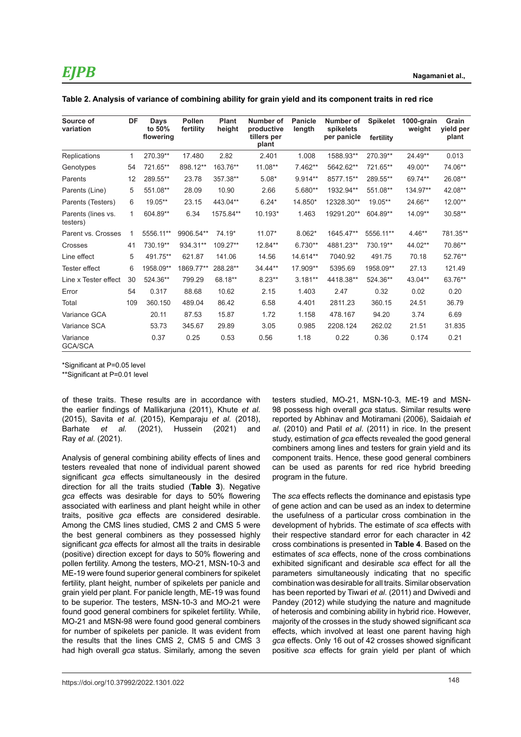| Source of<br>variation         | DF           | Days<br>to 50%<br>flowering | <b>Pollen</b><br>fertility | <b>Plant</b><br>height | Number of<br>productive<br>tillers per | <b>Panicle</b><br>length | Number of<br>spikelets<br>per panicle | <b>Spikelet</b> | 1000-grain<br>weight | Grain<br>yield per<br>plant |
|--------------------------------|--------------|-----------------------------|----------------------------|------------------------|----------------------------------------|--------------------------|---------------------------------------|-----------------|----------------------|-----------------------------|
|                                |              |                             |                            |                        | plant                                  |                          |                                       | fertility       |                      |                             |
| <b>Replications</b>            | 1.           | 270.39**                    | 17.480                     | 2.82                   | 2.401                                  | 1.008                    | 1588.93**                             | 270.39**        | 24.49**              | 0.013                       |
| Genotypes                      | 54           | 721.65**                    | 898.12**                   | 163.76**               | 11.08**                                | 7.462**                  | 5642.62**                             | 721.65**        | 49.00**              | 74.06**                     |
| Parents                        | 12           | 289.55**                    | 23.78                      | 357.38**               | $5.08*$                                | 9.914**                  | 8577.15**                             | 289.55**        | 69.74**              | 26.08**                     |
| Parents (Line)                 | 5            | 551.08**                    | 28.09                      | 10.90                  | 2.66                                   | 5.680**                  | 1932.94**                             | 551.08**        | 134.97**             | 42.08**                     |
| Parents (Testers)              | 6            | 19.05**                     | 23.15                      | 443.04**               | $6.24*$                                | 14.850*                  | 12328.30**                            | $19.05**$       | 24.66**              | $12.00**$                   |
| Parents (lines vs.<br>testers) | $\mathbf{1}$ | 604.89**                    | 6.34                       | 1575.84**              | 10.193*                                | 1.463                    | 19291.20**                            | 604.89**        | 14.09**              | $30.58**$                   |
| Parent vs. Crosses             | 1            | 5556.11**                   | 9906.54**                  | 74.19*                 | $11.07*$                               | $8.062*$                 | 1645.47**                             | 5556.11**       | $4.46**$             | 781.35**                    |
| Crosses                        | 41           | 730.19**                    | 934.31**                   | 109.27**               | 12.84**                                | 6.730**                  | 4881.23**                             | 730.19**        | 44.02**              | 70.86**                     |
| Line effect                    | 5            | 491.75**                    | 621.87                     | 141.06                 | 14.56                                  | 14.614**                 | 7040.92                               | 491.75          | 70.18                | 52.76**                     |
| <b>Tester effect</b>           | 6            | 1958.09**                   | 1869.77**                  | 288.28**               | 34.44**                                | 17.909**                 | 5395.69                               | 1958.09**       | 27.13                | 121.49                      |
| Line x Tester effect           | 30           | 524.36**                    | 799.29                     | 68.18**                | $8.23**$                               | $3.181**$                | 4418.38**                             | 524.36**        | 43.04**              | 63.76**                     |
| Error                          | 54           | 0.317                       | 88.68                      | 10.62                  | 2.15                                   | 1.403                    | 2.47                                  | 0.32            | 0.02                 | 0.20                        |
| Total                          | 109          | 360.150                     | 489.04                     | 86.42                  | 6.58                                   | 4.401                    | 2811.23                               | 360.15          | 24.51                | 36.79                       |
| Variance GCA                   |              | 20.11                       | 87.53                      | 15.87                  | 1.72                                   | 1.158                    | 478.167                               | 94.20           | 3.74                 | 6.69                        |
| Variance SCA                   |              | 53.73                       | 345.67                     | 29.89                  | 3.05                                   | 0.985                    | 2208.124                              | 262.02          | 21.51                | 31.835                      |
| Variance<br><b>GCA/SCA</b>     |              | 0.37                        | 0.25                       | 0.53                   | 0.56                                   | 1.18                     | 0.22                                  | 0.36            | 0.174                | 0.21                        |

| Table 2. Analysis of variance of combining ability for grain yield and its component traits in red rice |  |  |  |
|---------------------------------------------------------------------------------------------------------|--|--|--|
|---------------------------------------------------------------------------------------------------------|--|--|--|

\*Significant at P=0.05 level

\*\*Significant at P=0.01 level

of these traits. These results are in accordance with the earlier findings of Mallikarjuna (2011), Khute *et al.* (2015), Savita *et al.* (2015), Kemparaju *et al.* (2018), Barhate *et al.* (2021), Hussein (2021) and Ray *et al.* (2021).

Analysis of general combining ability effects of lines and testers revealed that none of individual parent showed significant *gca* effects simultaneously in the desired direction for all the traits studied (**Table 3**). Negative *gca* effects was desirable for days to 50% flowering associated with earliness and plant height while in other traits, positive *gca* effects are considered desirable. Among the CMS lines studied, CMS 2 and CMS 5 were the best general combiners as they possessed highly significant *gca* effects for almost all the traits in desirable (positive) direction except for days to 50% flowering and pollen fertility. Among the testers, MO-21, MSN-10-3 and ME-19 were found superior general combiners for spikelet fertility, plant height, number of spikelets per panicle and grain yield per plant. For panicle length, ME-19 was found to be superior. The testers, MSN-10-3 and MO-21 were found good general combiners for spikelet fertility. While, MO-21 and MSN-98 were found good general combiners for number of spikelets per panicle. It was evident from the results that the lines CMS 2, CMS 5 and CMS 3 had high overall *gca* status. Similarly, among the seven

148 https://doi.org/10.37992/2022.1301.022

testers studied, MO-21, MSN-10-3, ME-19 and MSN-98 possess high overall *gca* status. Similar results were reported by Abhinav and Motiramani (2006), Saidaiah *et al*. (2010) and Patil *et al*. (2011) in rice. In the present study, estimation of *gca* effects revealed the good general combiners among lines and testers for grain yield and its component traits. Hence, these good general combiners can be used as parents for red rice hybrid breeding program in the future.

The *sca* effects reflects the dominance and epistasis type of gene action and can be used as an index to determine the usefulness of a particular cross combination in the development of hybrids. The estimate of *sca* effects with their respective standard error for each character in 42 cross combinations is presented in **Table 4**. Based on the estimates of *sca* effects, none of the cross combinations exhibited significant and desirable *sca* effect for all the parameters simultaneously indicating that no specific combination was desirable for all traits. Similar observation has been reported by Tiwari *et al.* (2011) and Dwivedi and Pandey (2012) while studying the nature and magnitude of heterosis and combining ability in hybrid rice. However, majority of the crosses in the study showed significant *sca*  effects, which involved at least one parent having high *gca* effects. Only 16 out of 42 crosses showed significant positive *sca* effects for grain yield per plant of which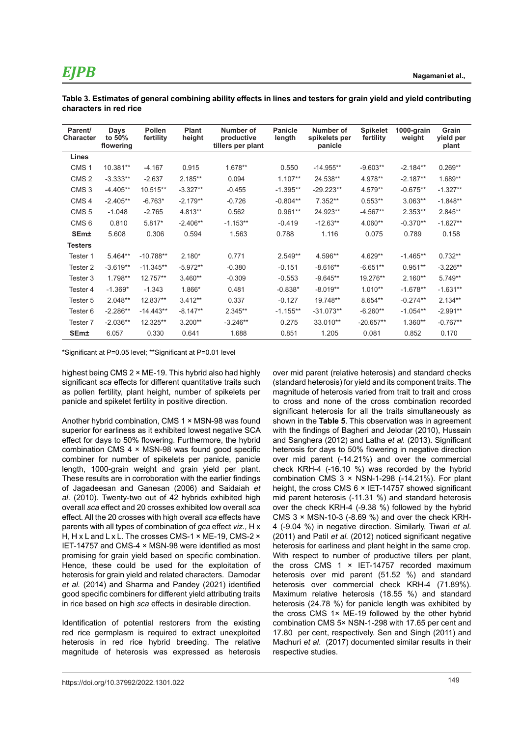**Table 3. Estimates of general combining ability effects in lines and testers for grain yield and yield contributing characters in red rice**

| Parent/<br><b>Character</b> | Days<br>to 50%<br>flowering | <b>Pollen</b><br>fertility | Plant<br>height | Number of<br>productive<br>tillers per plant | <b>Panicle</b><br>length | Number of<br>spikelets per<br>panicle | <b>Spikelet</b><br>fertility | 1000-grain<br>weight | Grain<br>yield per<br>plant |
|-----------------------------|-----------------------------|----------------------------|-----------------|----------------------------------------------|--------------------------|---------------------------------------|------------------------------|----------------------|-----------------------------|
| Lines                       |                             |                            |                 |                                              |                          |                                       |                              |                      |                             |
| CMS <sub>1</sub>            | 10.381**                    | $-4.167$                   | 0.915           | 1.678**                                      | 0.550                    | $-14.955**$                           | $-9.603**$                   | $-2.184**$           | $0.269**$                   |
| CMS <sub>2</sub>            | $-3.333**$                  | $-2.637$                   | $2.185**$       | 0.094                                        | $1.107**$                | 24.538**                              | 4.978**                      | $-2.187**$           | 1.689**                     |
| CMS <sub>3</sub>            | $-4.405**$                  | 10.515**                   | $-3.327**$      | $-0.455$                                     | $-1.395**$               | $-29.223**$                           | 4.579**                      | $-0.675**$           | $-1.327**$                  |
| CMS <sub>4</sub>            | $-2.405**$                  | $-6.763*$                  | $-2.179**$      | $-0.726$                                     | $-0.804**$               | 7.352**                               | $0.553**$                    | $3.063**$            | $-1.848**$                  |
| CMS <sub>5</sub>            | $-1.048$                    | $-2.765$                   | 4.813**         | 0.562                                        | $0.961**$                | 24.923**                              | $-4.567**$                   | $2.353**$            | 2.845**                     |
| CMS <sub>6</sub>            | 0.810                       | $5.817*$                   | $-2.406**$      | $-1.153**$                                   | $-0.419$                 | $-12.63**$                            | 4.060**                      | $-0.370**$           | $-1.627**$                  |
| SEm±                        | 5.608                       | 0.306                      | 0.594           | 1.563                                        | 0.788                    | 1.116                                 | 0.075                        | 0.789                | 0.158                       |
| <b>Testers</b>              |                             |                            |                 |                                              |                          |                                       |                              |                      |                             |
| Tester 1                    | $5.464**$                   | $-10.788**$                | $2.180*$        | 0.771                                        | $2.549**$                | 4.596**                               | 4.629**                      | $-1.465**$           | $0.732**$                   |
| Tester 2                    | $-3.619**$                  | $-11.345**$                | $-5.972**$      | $-0.380$                                     | $-0.151$                 | $-8.616**$                            | $-6.651**$                   | $0.951**$            | $-3.226**$                  |
| Tester 3                    | 1.798**                     | 12.757**                   | $3.460**$       | $-0.309$                                     | $-0.553$                 | $-9.645**$                            | 19.276**                     | $2.160**$            | 5.749**                     |
| Tester 4                    | $-1.369*$                   | $-1.343$                   | 1.866*          | 0.481                                        | $-0.838*$                | $-8.019**$                            | $1.010**$                    | $-1.678**$           | $-1.631**$                  |
| Tester 5                    | $2.048**$                   | 12.837**                   | $3.412**$       | 0.337                                        | $-0.127$                 | 19.748**                              | 8.654**                      | $-0.274**$           | $2.134**$                   |
| Tester 6                    | $-2.286**$                  | $-14.443**$                | $-8.147**$      | $2.345**$                                    | $-1.155**$               | $-31.073**$                           | $-6.260**$                   | $-1.054**$           | $-2.991**$                  |
| Tester <sub>7</sub>         | $-2.036**$                  | 12.325**                   | $3.200**$       | $-3.246**$                                   | 0.275                    | 33.010**                              | $-20.657**$                  | $1.360**$            | $-0.767**$                  |
| <b>SEm±</b>                 | 6.057                       | 0.330                      | 0.641           | 1.688                                        | 0.851                    | 1.205                                 | 0.081                        | 0.852                | 0.170                       |

\*Significant at P=0.05 level; \*\*Significant at P=0.01 level

highest being CMS 2 × ME-19. This hybrid also had highly significant s*ca* effects for different quantitative traits such as pollen fertility, plant height, number of spikelets per panicle and spikelet fertility in positive direction.

Another hybrid combination, CMS 1 × MSN-98 was found superior for earliness as it exhibited lowest negative SCA effect for days to 50% flowering. Furthermore, the hybrid combination CMS 4 × MSN-98 was found good specific combiner for number of spikelets per panicle, panicle length, 1000-grain weight and grain yield per plant. These results are in corroboration with the earlier findings of Jagadeesan and Ganesan (2006) and Saidaiah *et al*. (2010). Twenty-two out of 42 hybrids exhibited high overall *sca* effect and 20 crosses exhibited low overall *sca*  effect*.* All the 20 crosses with high overall *sca* effects have parents with all types of combination of *gca* effect *viz.,* H x H, H x L and L x L. The crosses CMS-1 × ME-19, CMS-2 × IET-14757 and CMS-4 × MSN-98 were identified as most promising for grain yield based on specific combination. Hence, these could be used for the exploitation of heterosis for grain yield and related characters. Damodar *et al.* (2014) and Sharma and Pandey (2021) identified good specific combiners for different yield attributing traits in rice based on high *sca* effects in desirable direction.

Identification of potential restorers from the existing red rice germplasm is required to extract unexploited heterosis in red rice hybrid breeding. The relative magnitude of heterosis was expressed as heterosis (standard heterosis) for yield and its component traits. The magnitude of heterosis varied from trait to trait and cross to cross and none of the cross combination recorded significant heterosis for all the traits simultaneously as shown in the **Table 5**. This observation was in agreement with the findings of Bagheri and Jelodar (2010), Hussain and Sanghera (2012) and Latha *et al.* (2013). Significant heterosis for days to 50% flowering in negative direction over mid parent (-14.21%) and over the commercial check KRH-4 (-16.10 %) was recorded by the hybrid combination CMS  $3 \times$  NSN-1-298 (-14.21%). For plant height, the cross CMS 6 × IET-14757 showed significant mid parent heterosis (-11.31 %) and standard heterosis over the check KRH-4 (-9.38 %) followed by the hybrid CMS  $3 \times$  MSN-10-3 (-8.69 %) and over the check KRH-4 (-9.04 %) in negative direction. Similarly, Tiwari *et al*. (2011) and Patil *et al.* (2012) noticed significant negative heterosis for earliness and plant height in the same crop. With respect to number of productive tillers per plant, the cross CMS 1 × IET-14757 recorded maximum heterosis over mid parent (51.52 %) and standard heterosis over commercial check KRH-4 (71.89%). Maximum relative heterosis (18.55 %) and standard heterosis (24.78 %) for panicle length was exhibited by the cross CMS 1× ME-19 followed by the other hybrid combination CMS 5× NSN-1-298 with 17.65 per cent and 17.80 per cent, respectively. Sen and Singh (2011) and Madhuri *et al*. (2017) documented similar results in their respective studies.

over mid parent (relative heterosis) and standard checks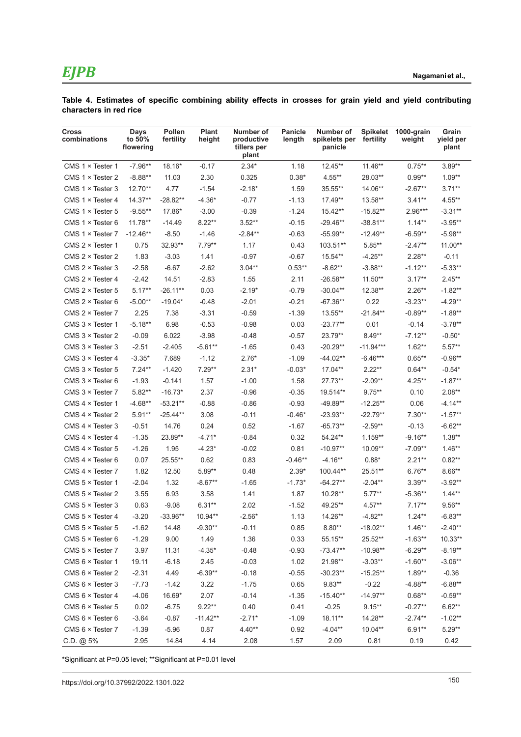**Table 4. Estimates of specific combining ability effects in crosses for grain yield and yield contributing characters in red rice**

| Cross<br>combinations     | Days<br>to 50%<br>flowering | Pollen<br>fertility | <b>Plant</b><br>height | Number of<br>productive<br>tillers per<br>plant | <b>Panicle</b><br>length | Number of<br>spikelets per<br>panicle | <b>Spikelet</b><br>fertility | 1000-grain<br>weight | Grain<br>yield per<br>plant |
|---------------------------|-----------------------------|---------------------|------------------------|-------------------------------------------------|--------------------------|---------------------------------------|------------------------------|----------------------|-----------------------------|
| CMS $1 \times$ Tester 1   | $-7.96**$                   | 18.16*              | $-0.17$                | $2.34*$                                         | 1.18                     | 12.45**                               | $11.46**$                    | $0.75***$            | $3.89**$                    |
| CMS $1 \times$ Tester 2   | $-8.88**$                   | 11.03               | 2.30                   | 0.325                                           | $0.38*$                  | 4.55**                                | 28.03**                      | $0.99**$             | $1.09**$                    |
| $CMS 1 \times Tester 3$   | 12.70**                     | 4.77                | $-1.54$                | $-2.18*$                                        | 1.59                     | 35.55**                               | 14.06**                      | $-2.67**$            | $3.71**$                    |
| CMS $1 \times$ Tester 4   | 14.37**                     | $-28.82**$          | $-4.36*$               | $-0.77$                                         | $-1.13$                  | 17.49**                               | 13.58**                      | $3.41**$             | 4.55**                      |
| CMS $1 \times$ Tester 5   | $-9.55**$                   | 17.86*              | $-3.00$                | $-0.39$                                         | $-1.24$                  | $15.42**$                             | $-15.82**$                   | $2.96***$            | -3.31**                     |
| CMS $1 \times$ Tester 6   | $11.78**$                   | $-14.49$            | $8.22**$               | $3.52**$                                        | $-0.15$                  | $-29.46**$                            | $-38.81**$                   | $1.14***$            | $-3.95**$                   |
| CMS $1 \times$ Tester 7   | $-12.46**$                  | $-8.50$             | $-1.46$                | $-2.84**$                                       | $-0.63$                  | $-55.99**$                            | $-12.49**$                   | $-6.59**$            | $-5.98**$                   |
| CMS 2 × Tester 1          | 0.75                        | 32.93**             | $7.79**$               | 1.17                                            | 0.43                     | 103.51**                              | $5.85***$                    | $-2.47**$            | $11.00**$                   |
| CMS $2 \times$ Tester 2   | 1.83                        | $-3.03$             | 1.41                   | $-0.97$                                         | $-0.67$                  | 15.54**                               | $-4.25**$                    | $2.28**$             | $-0.11$                     |
| $CMS 2 \times Tester 3$   | $-2.58$                     | $-6.67$             | $-2.62$                | $3.04**$                                        | $0.53**$                 | $-8.62**$                             | $-3.88**$                    | $-1.12**$            | $-5.33**$                   |
| CMS 2 × Tester 4          | $-2.42$                     | 14.51               | $-2.83$                | 1.55                                            | 2.11                     | -26.58**                              | $11.50**$                    | $3.17**$             | $2.45**$                    |
| CMS $2 \times$ Tester 5   | $5.17**$                    | $-26.11**$          | 0.03                   | $-2.19*$                                        | $-0.79$                  | $-30.04**$                            | 12.38**                      | $2.26**$             | $-1.82**$                   |
| CMS $2 \times$ Tester 6   | $-5.00**$                   | $-19.04*$           | $-0.48$                | $-2.01$                                         | $-0.21$                  | $-67.36**$                            | 0.22                         | $-3.23**$            | $-4.29**$                   |
| CMS $2 \times$ Tester 7   | 2.25                        | 7.38                | $-3.31$                | $-0.59$                                         | $-1.39$                  | 13.55**                               | $-21.84**$                   | $-0.89**$            | $-1.89**$                   |
| CMS 3 × Tester 1          | $-5.18**$                   | 6.98                | $-0.53$                | $-0.98$                                         | 0.03                     | $-23.77**$                            | 0.01                         | $-0.14$              | $-3.78**$                   |
| CMS $3 \times$ Tester 2   | $-0.09$                     | 6.022               | $-3.98$                | $-0.48$                                         | $-0.57$                  | 23.79**                               | $8.49**$                     | $-7.12**$            | $-0.50*$                    |
| CMS $3 \times$ Tester $3$ | $-2.51$                     | $-2.405$            | $-5.61**$              | $-1.65$                                         | 0.43                     | $-20.29**$                            | $-11.94***$                  | $1.62**$             | $5.57**$                    |
| CMS 3 × Tester 4          | $-3.35*$                    | 7.689               | $-1.12$                | $2.76*$                                         | $-1.09$                  | $-44.02**$                            | $-6.46***$                   | $0.65**$             | $-0.96**$                   |
| CMS $3 \times$ Tester 5   | $7.24**$                    | $-1.420$            | $7.29**$               | $2.31*$                                         | $-0.03*$                 | 17.04**                               | $2.22**$                     | $0.64**$             | $-0.54*$                    |
| CMS 3 × Tester 6          | $-1.93$                     | $-0.141$            | 1.57                   | $-1.00$                                         | 1.58                     | 27.73**                               | $-2.09**$                    | $4.25**$             | $-1.87**$                   |
| CMS $3 \times$ Tester 7   | $5.82**$                    | $-16.73*$           | 2.37                   | $-0.96$                                         | $-0.35$                  | 19.514**                              | $9.75***$                    | 0.10                 | $2.08**$                    |
| CMS $4 \times$ Tester 1   | $-4.68**$                   | $-53.21**$          | $-0.88$                | $-0.86$                                         | $-0.93$                  | $-49.89**$                            | $-12.25**$                   | 0.06                 | -4.14**                     |
| CMS $4 \times$ Tester 2   | $5.91**$                    | $-25.44**$          | 3.08                   | $-0.11$                                         | $-0.46*$                 | $-23.93**$                            | $-22.79**$                   | $7.30**$             | $-1.57**$                   |
| CMS $4 \times$ Tester 3   | $-0.51$                     | 14.76               | 0.24                   | 0.52                                            | $-1.67$                  | $-65.73**$                            | $-2.59**$                    | $-0.13$              | $-6.62**$                   |
| CMS $4 \times$ Tester 4   | $-1.35$                     | 23.89**             | $-4.71*$               | $-0.84$                                         | 0.32                     | 54.24**                               | 1.159**                      | $-9.16**$            | $1.38**$                    |
| CMS 4 × Tester 5          | $-1.26$                     | 1.95                | $-4.23*$               | $-0.02$                                         | 0.81                     | $-10.97**$                            | $10.09**$                    | $-7.09**$            | $1.46**$                    |
| CMS $4 \times$ Tester 6   | 0.07                        | 25.55**             | 0.62                   | 0.83                                            | $-0.46**$                | $-4.16**$                             | $0.88*$                      | $2.21**$             | $0.82**$                    |
| CMS $4 \times$ Tester 7   | 1.82                        | 12.50               | $5.89**$               | 0.48                                            | $2.39*$                  | 100.44**                              | 25.51**                      | $6.76**$             | $8.66**$                    |
| CMS 5 × Tester 1          | $-2.04$                     | 1.32                | $-8.67**$              | $-1.65$                                         | $-1.73*$                 | $-64.27**$                            | $-2.04**$                    | $3.39**$             | $-3.92**$                   |
| CMS $5 \times$ Tester 2   | 3.55                        | 6.93                | 3.58                   | 1.41                                            | 1.87                     | 10.28**                               | $5.77***$                    | $-5.36**$            | $1.44**$                    |
| CMS $5 \times$ Tester 3   | 0.63                        | $-9.08$             | $6.31**$               | 2.02                                            | $-1.52$                  | 49.25**                               | $4.57**$                     | $7.17**$             | $9.56**$                    |
| CMS 5 × Tester 4          | $-3.20$                     | $-33.96**$          | 10.94**                | $-2.56*$                                        | 1.13                     | 14.26**                               | $-4.82**$                    | $1.24**$             | $-6.83**$                   |
| CMS 5 × Tester 5          | $-1.62$                     | 14.48               | $-9.30**$              | $-0.11$                                         | 0.85                     | $8.80**$                              | $-18.02**$                   | $1.46**$             | $-2.40**$                   |
| CMS 5 × Tester 6          | $-1.29$                     | 9.00                | 1.49                   | 1.36                                            | 0.33                     | 55.15**                               | 25.52**                      | $-1.63**$            | $10.33**$                   |
| CMS $5 \times$ Tester 7   | 3.97                        | 11.31               | $-4.35*$               | $-0.48$                                         | $-0.93$                  | $-73.47**$                            | $-10.98**$                   | $-6.29**$            | $-8.19**$                   |
| CMS 6 × Tester 1          | 19.11                       | $-6.18$             | 2.45                   | $-0.03$                                         | 1.02                     | 21.98**                               | $-3.03**$                    | $-1.60**$            | $-3.06**$                   |
| CMS 6 × Tester 2          | $-2.31$                     | 4.49                | $-6.39**$              | $-0.18$                                         | $-0.55$                  | $-30.23**$                            | $-15.25**$                   | $1.89**$             | $-0.36$                     |
| CMS 6 × Tester 3          | $-7.73$                     | $-1.42$             | 3.22                   | $-1.75$                                         | 0.65                     | $9.83**$                              | $-0.22$                      | $-4.88**$            | $-6.88**$                   |
| CMS 6 × Tester 4          | $-4.06$                     | 16.69*              | 2.07                   | $-0.14$                                         | $-1.35$                  | $-15.40**$                            | $-14.97**$                   | $0.68**$             | $-0.59**$                   |
| CMS $6 \times$ Tester 5   | 0.02                        | $-6.75$             | $9.22**$               | 0.40                                            | 0.41                     | $-0.25$                               | $9.15***$                    | $-0.27**$            | $6.62**$                    |
| CMS $6 \times$ Tester $6$ | $-3.64$                     | $-0.87$             | $-11.42**$             | $-2.71*$                                        | $-1.09$                  | 18.11**                               | 14.28**                      | $-2.74**$            | $-1.02**$                   |
| CMS 6 × Tester 7          | $-1.39$                     | $-5.96$             | 0.87                   | $4.40**$                                        | 0.92                     | $-4.04**$                             | 10.04**                      | $6.91**$             | $5.29**$                    |
| C.D. @ 5%                 | 2.95                        | 14.84               | 4.14                   | 2.08                                            | 1.57                     | 2.09                                  | 0.81                         | 0.19                 | 0.42                        |

\*Significant at P=0.05 level; \*\*Significant at P=0.01 level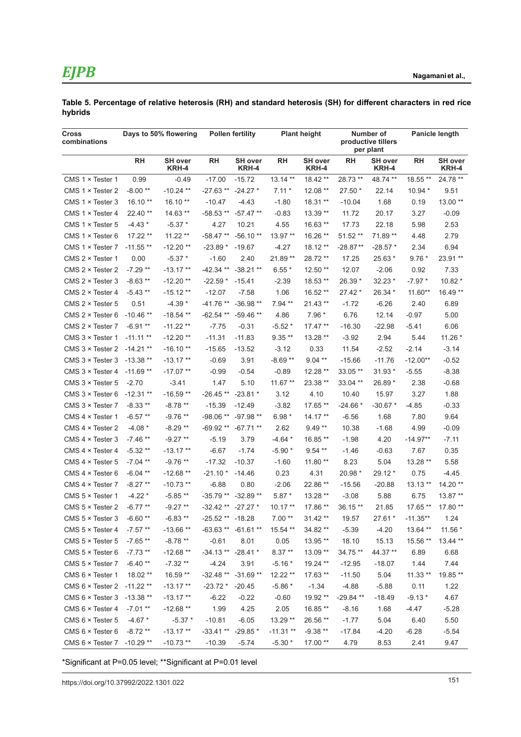#### **Table 5. Percentage of relative heterosis (RH) and standard heterosis (SH) for different characters in red rice hybrids**

| <b>Cross</b><br>combinations     | Days to 50% flowering |                         | <b>Pollen fertility</b> |                         | <b>Plant height</b> |                         | Number of<br>productive tillers<br>per plant |                         | <b>Panicle length</b> |                         |
|----------------------------------|-----------------------|-------------------------|-------------------------|-------------------------|---------------------|-------------------------|----------------------------------------------|-------------------------|-----------------------|-------------------------|
|                                  | RH                    | <b>SH</b> over<br>KRH-4 | RH                      | <b>SH</b> over<br>KRH-4 | <b>RH</b>           | <b>SH</b> over<br>KRH-4 | <b>RH</b>                                    | <b>SH</b> over<br>KRH-4 | <b>RH</b>             | <b>SH</b> over<br>KRH-4 |
| CMS $1 \times$ Tester 1          | 0.99                  | $-0.49$                 | $-17.00$                | $-15.72$                | $13.14**$           | 18.42 **                | 28.73 **                                     | 48.74 **                | 18.55 **              | 24.78 **                |
| CMS $1 \times$ Tester 2          | $-8.00**$             | $-10.24$ **             | $-27.63**$              | $-24.27*$               | $7.11*$             | 12.08 **                | 27.50 *                                      | 22.14                   | 10.94 *               | 9.51                    |
| CMS $1 \times$ Tester 3          | $16.10**$             | $16.10**$               | $-10.47$                | $-4.43$                 | $-1.80$             | 18.31 **                | $-10.04$                                     | 1.68                    | 0.19                  | 13.00 **                |
| CMS $1 \times$ Tester 4          | 22.40 **              | 14.63 **                | $-58.53**$              | $-57.47**$              | $-0.83$             | 13.39 **                | 11.72                                        | 20.17                   | 3.27                  | $-0.09$                 |
| CMS $1 \times$ Tester 5          | $-4.43*$              | $-5.37*$                | 4.27                    | 10.21                   | 4.55                | 16.63 **                | 17.73                                        | 22.18                   | 5.98                  | 2.53                    |
| CMS $1 \times$ Tester 6          | 17.22 **              | $11.22**$               | $-58.47**$              | $-56.10**$              | 13.97 **            | 16.26 **                | $51.52**$                                    | 71.89 **                | 4.48                  | 2.79                    |
| CMS $1 \times$ Tester 7          | $-11.55**$            | $-12.20**$              | $-23.89*$               | $-19.67$                | $-4.27$             | 18.12 **                | $-28.87**$                                   | $-28.57*$               | 2.34                  | 6.94                    |
| CMS 2 × Tester 1                 | 0.00                  | $-5.37*$                | $-1.60$                 | 2.40                    | 21.89 **            | 28.72 **                | 17.25                                        | 25.63 *                 | $9.76*$               | 23.91 **                |
| CMS $2 \times$ Tester 2          | $-7.29**$             | $-13.17**$              | $-42.34**$              | $-38.21**$              | $6.55*$             | 12.50 **                | 12.07                                        | $-2.06$                 | 0.92                  | 7.33                    |
| CMS $2 \times$ Tester 3          | $-8.63**$             | $-12.20**$              | $-22.59*$               | $-15.41$                | -2.39               | 18.53 **                | 26.39 *                                      | 32.23 *                 | $-7.97*$              | 10.82 *                 |
| CMS 2 × Tester 4                 | $-5.43**$             | $-15.12**$              | $-12.07$                | $-7.58$                 | 1.06                | 16.52 **                | 27.42 *                                      | 26.34 *                 | 11.60**               | 16.49 **                |
| CMS $2 \times$ Tester 5          | 0.51                  | $-4.39*$                | $-41.76**$              | $-36.98**$              | $7.94**$            | 21.43 **                | $-1.72$                                      | $-6.26$                 | 2.40                  | 6.89                    |
| CMS $2 \times$ Tester 6          | $-10.46**$            | $-18.54**$              | $-62.54$ **             | $-59.46**$              | 4.86                | $7.96*$                 | 6.76                                         | 12.14                   | $-0.97$               | 5.00                    |
| CMS 2 × Tester 7                 | $-6.91**$             | $-11.22**$              | $-7.75$                 | $-0.31$                 | $-5.52*$            | $17.47**$               | $-16.30$                                     | $-22.98$                | $-5.41$               | 6.06                    |
| CMS 3 × Tester 1                 | $-11.11**$            | $-12.20**$              | $-11.31$                | $-11.83$                | $9.35**$            | 13.28 **                | $-3.92$                                      | 2.94                    | 5.44                  | 11.26 *                 |
| CMS 3 × Tester 2                 | $-14.21**$            | $-16.10**$              | $-15.65$                | $-13.52$                | $-3.12$             | 0.33                    | 11.54                                        | $-2.52$                 | $-2.14$               | $-3.14$                 |
| CMS $3 \times$ Tester 3          | $-13.38**$            | $-13.17**$              | $-0.69$                 | 3.91                    | $-8.69**$           | $9.04**$                | $-15.66$                                     | $-11.76$                | $-12.00**$            | $-0.52$                 |
| CMS $3 \times$ Tester 4          | $-11.69**$            | $-17.07**$              | $-0.99$                 | $-0.54$                 | $-0.89$             | 12.28 **                | 33.05 **                                     | 31.93 *                 | $-5.55$               | $-8.38$                 |
| CMS 3 × Tester 5                 | $-2.70$               | $-3.41$                 | 1.47                    | 5.10                    | $11.67**$           | 23.38 **                | 33.04 **                                     | 26.89 *                 | 2.38                  | $-0.68$                 |
| CMS $3 \times$ Tester 6          | $-12.31**$            | $-16.59**$              | $-26.45**$              | $-23.81*$               | 3.12                | 4.10                    | 10.40                                        | 15.97                   | 3.27                  | 1.88                    |
| CMS 3 × Tester 7                 | $-8.33**$             | $-8.78**$               | $-15.39$                | $-12.49$                | $-3.82$             | 17.65 **                | $-24.66*$                                    | $-30.67*$               | $-4.85$               | $-0.33$                 |
| CMS $4 \times$ Tester 1          | $-6.57**$             | $-9.76**$               | -98.06 **               | -97.98 **               | $6.98*$             | $14.17**$               | $-6.56$                                      | 1.68                    | 7.80                  | 9.64                    |
| CMS 4 × Tester 2                 | $-4.08*$              | $-8.29**$               | $-69.92**$              | $-67.71**$              | 2.62                | $9.49**$                | 10.38                                        | $-1.68$                 | 4.99                  | $-0.09$                 |
| CMS $4 \times$ Tester 3          | $-7.46**$             | $-9.27**$               | $-5.19$                 | 3.79                    | $-4.64*$            | 16.85**                 | $-1.98$                                      | 4.20                    | $-14.97**$            | $-7.11$                 |
| CMS $4 \times$ Tester 4          | $-5.32**$             | $-13.17**$              | $-6.67$                 | $-1.74$                 | $-5.90*$            | $9.54**$                | $-1.46$                                      | $-0.63$                 | 7.67                  | 0.35                    |
| CMS $4 \times$ Tester 5          | $-7.04$ **            | $-9.76**$               | $-17.32$                | $-10.37$                | $-1.60$             | $11.80**$               | 8.23                                         | 5.04                    | 13.28 **              | 5.58                    |
| CMS $4 \times$ Tester 6          | $-6.04$ **            | $-12.68**$              | $-21.10*$               | $-14.46$                | 0.23                | 4.31                    | 20.98 *                                      | 29.12 *                 | 0.75                  | -4.45                   |
| CMS $4 \times$ Tester 7          | $-8.27**$             | $-10.73**$              | $-6.88$                 | 0.80                    | $-2.06$             | 22.86 **                | $-15.56$                                     | $-20.88$                | $13.13**$             | 14.20 **                |
| CMS $5 \times$ Tester 1          | $-4.22*$              | $-5.85**$               | $-35.79**$              | $-32.89**$              | $5.87*$             | 13.28 **                | $-3.08$                                      | 5.88                    | 6.75                  | 13.87 **                |
| CMS 5 × Tester 2                 | $-6.77**$             | $-9.27**$               | $-32.42**$              | $-27.27$ *              | $10.17**$           | 17.86 **                | 36.15 **                                     | 21.85                   | 17.65 **              | 17.80 **                |
| CMS $5 \times$ Tester 3 -6.60 ** |                       | $-6.83**$               | $-25.52**$              | $-18.28$                | $7.00**$            | 31.42 **                | 19.57                                        | 27.61 *                 | $-11.35**$            | 1.24                    |
| CMS $5 \times$ Tester 4          | $-7.57**$             | $-13.66**$              |                         | -63.63 ** -61.61 **     | 15.54 **            | 34.82 **                | $-5.39$                                      | $-4.20$                 | 13.64 **              | $11.56*$                |
| CMS 5 × Tester 5                 | $-7.65**$             | $-8.78**$               | $-0.61$                 | 8.01                    | 0.05                | 13.95 **                | 18.10                                        | 15.13                   | 15.56 **              | 13.44 **                |
| CMS 5 × Tester 6                 | $-7.73**$             | $-12.68**$              | $-34.13**$              | $-28.41*$               | $8.37**$            | 13.09 **                | 34.75 **                                     | 44.37 **                | 6.89                  | 6.68                    |
| CMS $5 \times$ Tester 7          | $-6.40**$             | $-7.32**$               | $-4.24$                 | 3.91                    | $-5.16*$            | 19.24 **                | $-12.95$                                     | $-18.07$                | 1.44                  | 7.44                    |
| CMS 6 × Tester 1                 | 18.02 **              | 16.59 **                | $-32.48**$              | $-31.69**$              | 12.22 **            | 17.63 **                | $-11.50$                                     | 5.04                    | $11.33**$             | 19.85 **                |
| $CMS 6 \times Tester 2$          | $-11.22**$            | $-13.17**$              | $-23.72*$               | $-20.45$                | $-5.86*$            | $-1.34$                 | $-4.88$                                      | $-5.88$                 | 0.11                  | 1.22                    |
| CMS 6 × Tester 3 -13.38 **       |                       | $-13.17**$              | $-6.22$                 | $-0.22$                 | $-0.60$             | 19.92 **                | $-29.84$ **                                  | $-18.49$                | $-9.13*$              | 4.67                    |
| CMS 6 x Tester 4                 | $-7.01**$             | $-12.68**$              | 1.99                    | 4.25                    | 2.05                | 16.85**                 | $-8.16$                                      | 1.68                    | $-4.47$               | $-5.28$                 |
| CMS $6 \times$ Tester 5          | $-4.67*$              | $-5.37$ *               | $-10.81$                | $-6.05$                 | 13.29 **            | 26.56 **                | $-1.77$                                      | 5.04                    | 6.40                  | 5.50                    |
| CMS $6 \times$ Tester $6$        | $-8.72**$             | $-13.17**$              | $-33.41**$              | $-29.85*$               | $-11.31**$          | $-9.38**$               | $-17.84$                                     | $-4.20$                 | $-6.28$               | $-5.54$                 |
| CMS 6 × Tester 7 -10.29 **       |                       | $-10.73**$              | $-10.39$                | $-5.74$                 | $-5.30*$            | 17.00 **                | 4.79                                         | 8.53                    | 2.41                  | 9.47                    |

\*Significant at P=0.05 level; \*\*Significant at P=0.01 level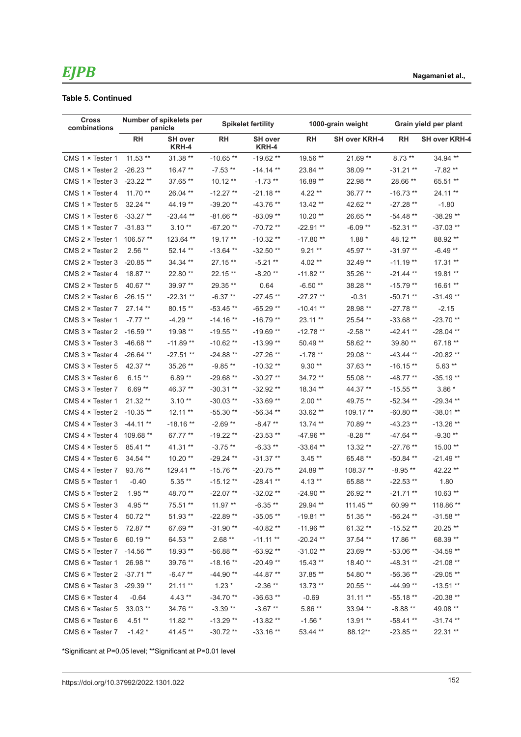#### **Table 5. Continued**

| <b>Cross</b><br>combinations      | Number of spikelets per<br>panicle |                         |             | <b>Spikelet fertility</b> |             | 1000-grain weight    | Grain yield per plant |                      |  |
|-----------------------------------|------------------------------------|-------------------------|-------------|---------------------------|-------------|----------------------|-----------------------|----------------------|--|
|                                   | <b>RH</b>                          | <b>SH over</b><br>KRH-4 | <b>RH</b>   | <b>SH over</b><br>KRH-4   | <b>RH</b>   | <b>SH over KRH-4</b> | RН                    | <b>SH over KRH-4</b> |  |
| CMS 1 × Tester 1                  | $11.53$ **                         | 31.38 **                | $-10.65**$  | $-19.62**$                | 19.56 **    | $21.69**$            | $8.73**$              | 34.94 **             |  |
| $CMS 1 \times Tester 2$           | $-26.23**$                         | $16.47**$               | $-7.53**$   | $-14.14**$                | 23.84 **    | 38.09 **             | $-31.21**$            | $-7.82**$            |  |
| CMS $1 \times$ Tester 3           | $-23.22**$                         | 37.65 **                | $10.12**$   | $-1.73$ **                | 16.89 **    | 22.98 **             | 28.66 **              | 65.51 **             |  |
| CMS $1 \times$ Tester 4           | $11.70**$                          | 26.04 **                | $-12.27**$  | $-21.18**$                | $4.22**$    | 36.77 **             | $-16.73**$            | 24.11 **             |  |
| CMS $1 \times$ Tester 5           | $32.24$ **                         | 44.19 **                | $-39.20**$  | $-43.76**$                | 13.42**     | 42.62 **             | $-27.28**$            | $-1.80$              |  |
| CMS $1 \times$ Tester 6           | $-33.27**$                         | $-23.44$ **             | $-81.66**$  | $-83.09**$                | $10.20**$   | 26.65**              | $-54.48**$            | $-38.29**$           |  |
| CMS $1 \times$ Tester 7           | $-31.83**$                         | $3.10**$                | -67.20 **   | $-70.72**$                | $-22.91**$  | $-6.09**$            | -52.31 **             | $-37.03**$           |  |
| $CMS 2 \times Tester 1$           | $106.57**$                         | 123.64 **               | $19.17**$   | $-10.32**$                | $-17.80**$  | $1.88*$              | 48.12 **              | 88.92 **             |  |
| CMS $2 \times$ Tester 2           | $2.56**$                           | 52.14 **                | $-13.64$ ** | $-32.50**$                | $9.21**$    | 45.97**              | $-31.97**$            | $-6.49**$            |  |
| $CMS 2 \times Tester 3$           | $-20.85**$                         | 34.34 **                | 27.15 **    | $-5.21$ **                | $4.02**$    | 32.49 **             | $-11.19**$            | 17.31 **             |  |
| CMS $2 \times$ Tester 4           | $18.87**$                          | 22.80 **                | 22.15 **    | $-8.20**$                 | $-11.82**$  | 35.26 **             | $-21.44$ **           | 19.81 **             |  |
| CMS $2 \times$ Tester 5           | 40.67 **                           | 39.97 **                | 29.35 **    | 0.64                      | $-6.50**$   | 38.28 **             | $-15.79**$            | 16.61 **             |  |
| CMS $2 \times$ Tester 6           | $-26.15**$                         | -22.31 **               | $-6.37**$   | $-27.45**$                | $-27.27**$  | $-0.31$              | $-50.71**$            | $-31.49**$           |  |
| CMS $2 \times$ Tester 7           | $27.14**$                          | 80.15 **                | $-53.45**$  | $-65.29**$                | $-10.41**$  | 28.98 **             | $-27.78**$            | $-2.15$              |  |
| CMS 3 × Tester 1                  | $-7.77**$                          | $-4.29**$               | $-14.16**$  | $-16.79**$                | $23.11**$   | 25.54 **             | $-33.68**$            | $-23.70**$           |  |
| CMS $3 \times$ Tester 2           | $-16.59**$                         | 19.98 **                | $-19.55**$  | $-19.69**$                | $-12.78**$  | $-2.58**$            | $-42.41**$            | $-28.04$ **          |  |
| CMS $3 \times$ Tester 3           | $-46.68**$                         | $-11.89**$              | $-10.62**$  | $-13.99**$                | 50.49 **    | 58.62 **             | 39.80 **              | 67.18 **             |  |
| CMS $3 \times$ Tester 4           | $-26.64$ **                        | -27.51 **               | $-24.88**$  | $-27.26$ **               | $-1.78**$   | 29.08 **             | $-43.44$ **           | $-20.82**$           |  |
| CMS $3 \times$ Tester 5           | 42.37 **                           | 35.26 **                | $-9.85**$   | $-10.32**$                | $9.30**$    | 37.63 **             | $-16.15**$            | $5.63**$             |  |
| CMS $3 \times$ Tester 6           | $6.15**$                           | $6.89**$                | $-29.68**$  | $-30.27**$                | 34.72 **    | 55.08 **             | $-48.77**$            | $-35.19**$           |  |
| CMS $3 \times$ Tester 7           | $6.69**$                           | 46.37 **                | $-30.31**$  | $-32.92**$                | 18.34 **    | 44.37 **             | $-15.55**$            | $3.86*$              |  |
| CMS $4 \times$ Tester 1           | $21.32**$                          | $3.10**$                | $-30.03**$  | $-33.69**$                | $2.00**$    | 49.75 **             | -52.34 **             | $-29.34**$           |  |
| CMS $4 \times$ Tester 2 -10.35 ** |                                    | $12.11**$               | $-55.30**$  | $-56.34**$                | 33.62 **    | 109.17 **            | $-60.80**$            | $-38.01**$           |  |
| CMS $4 \times$ Tester 3           | $-44.11**$                         | $-18.16**$              | $-2.69**$   | $-8.47**$                 | $13.74**$   | 70.89 **             | $-43.23**$            | $-13.26$ **          |  |
| CMS $4 \times$ Tester 4           | 109.68 **                          | 67.77 **                | $-19.22**$  | $-23.53**$                | $-47.96**$  | $-8.28**$            | $-47.64$ **           | $-9.30**$            |  |
| CMS $4 \times$ Tester 5           | 85.41 **                           | 41.31 **                | $-3.75**$   | $-6.33**$                 | $-33.64$ ** | 13.32 **             | $-27.76**$            | 15.00 **             |  |
| CMS $4 \times$ Tester 6           | 34.54 **                           | $10.20**$               | $-29.24$ ** | $-31.37**$                | $3.45**$    | 65.48 **             | -50.84 **             | $-21.49**$           |  |
| CMS $4 \times$ Tester 7           | 93.76 **                           | 129.41 **               | $-15.76**$  | $-20.75**$                | 24.89 **    | 108.37 **            | $-8.95**$             | 42.22 **             |  |
| CMS $5 \times$ Tester 1           | $-0.40$                            | $5.35**$                | $-15.12**$  | $-28.41**$                | 4.13 **     | 65.88 **             | $-22.53**$            | 1.80                 |  |
| CMS $5 \times$ Tester 2           | $1.95***$                          | 48.70 **                | $-22.07**$  | $-32.02**$                | $-24.90**$  | 26.92**              | $-21.71**$            | $10.63$ **           |  |
| CMS $5 \times$ Tester 3           | 4.95 **                            | 75.51 **                | 11.97 **    | $-6.35**$                 | 29.94 **    | 111.45 **            | 60.99 **              | 118.86 **            |  |
| CMS $5 \times$ Tester 4           | $50.72**$                          | 51.93 **                | $-22.89**$  | $-35.05**$                | $-19.81**$  | 51.35**              | $-56.24$ **           | $-31.58**$           |  |
| CMS $5 \times$ Tester 5           | 72.87 **                           | 67.69 **                | $-31.90**$  | $-40.82**$                | $-11.96**$  | 61.32 **             | $-15.52**$            | 20.25 **             |  |
| CMS $5 \times$ Tester 6           | 60.19 **                           | 64.53 **                | $2.68**$    | $-11.11**$                | $-20.24$ ** | 37.54 **             | 17.86 **              | 68.39 **             |  |
| CMS 5 × Tester 7 -14.56 **        |                                    | 18.93**                 | $-56.88**$  | $-63.92**$                | $-31.02**$  | 23.69 **             | $-53.06**$            | $-34.59**$           |  |
| CMS $6 \times$ Tester 1           | 26.98 **                           | 39.76 **                | $-18.16**$  | $-20.49**$                | 15.43**     | 18.40**              | $-48.31**$            | $-21.08**$           |  |
| CMS 6 × Tester 2 -37.71 **        |                                    | $-6.47**$               | $-44.90**$  | $-44.87**$                | 37.85 **    | 54.80 **             | $-56.36**$            | $-29.05**$           |  |
| CMS 6 × Tester 3 -29.39 **        |                                    | $21.11**$               | $1.23*$     | $-2.36**$                 | $13.73**$   | 20.55 **             | $-44.99**$            | $-13.51**$           |  |
| CMS $6 \times$ Tester 4           | $-0.64$                            | $4.43**$                | $-34.70**$  | $-36.63**$                | $-0.69$     | $31.11**$            | $-55.18**$            | $-20.38**$           |  |
| CMS $6 \times$ Tester 5           | $33.03$ **                         | 34.76 **                | $-3.39**$   | $-3.67**$                 | $5.86**$    | 33.94 **             | $-8.88**$             | 49.08 **             |  |
| CMS $6 \times$ Tester $6$         | $4.51**$                           | 11.82 **                | $-13.29**$  | $-13.82**$                | $-1.56*$    | 13.91 **             | $-58.41**$            | $-31.74$ **          |  |
| CMS $6 \times$ Tester 7           | $-1.42*$                           | 41.45 **                | $-30.72**$  | $-33.16**$                | 53.44 **    | 88.12**              | $-23.85**$            | 22.31 **             |  |

\*Significant at P=0.05 level; \*\*Significant at P=0.01 level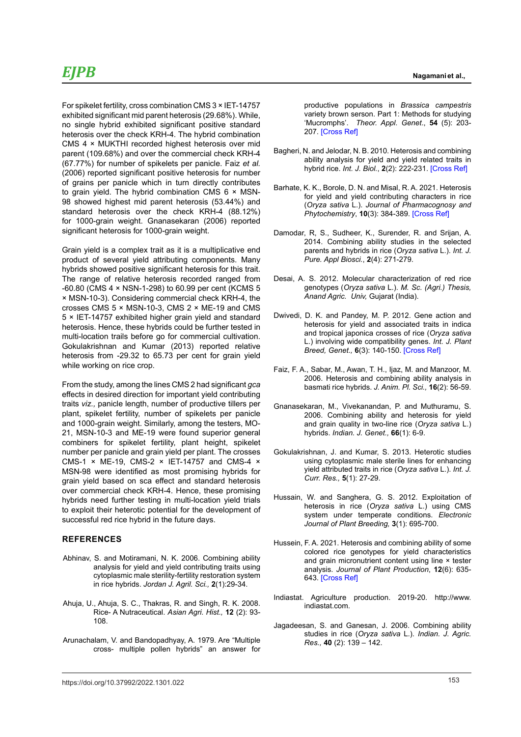For spikelet fertility, cross combination CMS 3 × IET-14757 exhibited significant mid parent heterosis (29.68%). While, no single hybrid exhibited significant positive standard heterosis over the check KRH-4. The hybrid combination CMS 4 × MUKTHI recorded highest heterosis over mid parent (109.68%) and over the commercial check KRH-4 (67.77%) for number of spikelets per panicle. Faiz *et al.* (2006) reported significant positive heterosis for number of grains per panicle which in turn directly contributes to grain yield. The hybrid combination CMS  $6 \times$  MSN-98 showed highest mid parent heterosis (53.44%) and standard heterosis over the check KRH-4 (88.12%) for 1000-grain weight. Gnanasekaran (2006) reported significant heterosis for 1000-grain weight.

Grain yield is a complex trait as it is a multiplicative end product of several yield attributing components. Many hybrids showed positive significant heterosis for this trait. The range of relative heterosis recorded ranged from -60.80 (CMS 4 × NSN-1-298) to 60.99 per cent (KCMS 5 × MSN-10-3). Considering commercial check KRH-4, the crosses CMS 5 × MSN-10-3, CMS 2 × ME-19 and CMS 5 × IET-14757 exhibited higher grain yield and standard heterosis. Hence, these hybrids could be further tested in multi-location trails before go for commercial cultivation. Gokulakrishnan and Kumar (2013) reported relative heterosis from -29.32 to 65.73 per cent for grain yield while working on rice crop.

From the study, among the lines CMS 2 had significant *gca* effects in desired direction for important yield contributing traits *viz.,* panicle length, number of productive tillers per plant, spikelet fertility, number of spikelets per panicle and 1000-grain weight. Similarly, among the testers, MO-21, MSN-10-3 and ME-19 were found superior general combiners for spikelet fertility, plant height, spikelet number per panicle and grain yield per plant. The crosses CMS-1 × ME-19, CMS-2 × IET-14757 and CMS-4 × MSN-98 were identified as most promising hybrids for grain yield based on sca effect and standard heterosis over commercial check KRH-4. Hence, these promising hybrids need further testing in multi-location yield trials to exploit their heterotic potential for the development of successful red rice hybrid in the future days.

#### **REFERENCES**

- Abhinav, S. and Motiramani, N. K. 2006. Combining ability analysis for yield and yield contributing traits using cytoplasmic male sterility-fertility restoration system in rice hybrids. *Jordan J. Agril. Sci.,* **2**(1):29-34.
- Ahuja, U., Ahuja, S. C., Thakras, R. and Singh, R. K. 2008. Rice- A Nutraceutical. *Asian Agri. Hist.,* **12** (2): 93- 108.
- Arunachalam, V. and Bandopadhyay, A. 1979. Are "Multiple cross- multiple pollen hybrids" an answer for

productive populations in *Brassica campestris* variety brown serson. Part 1: Methods for studying 'Mucromphs'. *Theor. Appl*. *Genet*., **54** (5): 203- 207. [\[Cross Ref\]](https://doi.org/10.1007/BF00267708)

- Bagheri, N. and Jelodar, N. B. 2010. Heterosis and combining ability analysis for yield and yield related traits in hybrid rice. *Int. J. Biol.*, **2**(2): 222-231. [\[Cross Ref\]](https://doi.org/10.5539/ijb.v2n2p222)
- Barhate, K. K., Borole, D. N. and Misal, R. A. 2021. Heterosis for yield and yield contributing characters in rice (*Oryza sativa* L.). *Journal of Pharmacognosy and Phytochemistry*, **10**(3): 384-389. [\[Cross Ref\]](https://doi.org/10.20546/ijcmas.2021.1006.022)
- Damodar, R, S., Sudheer, K., Surender, R. and Srijan, A. 2014. Combining ability studies in the selected parents and hybrids in rice (*Oryza sativa* L.). *Int. J. Pure. Appl Biosci.*, **2**(4): 271-279.
- Desai, A. S. 2012. Molecular characterization of red rice genotypes (*Oryza sativa* L.). *M. Sc. (Agri.) Thesis, Anand Agric. Univ,* Gujarat (India).
- Dwivedi, D. K. and Pandey, M. P. 2012. Gene action and heterosis for yield and associated traits in indica and tropical japonica crosses of rice (*Oryza sativa* L.) involving wide compatibility genes. *Int. J. Plant Breed, Genet.,* **6**(3): 140-150. [\[Cross Ref\]](https://doi.org/10.3923/ijpbg.2012.140.150)
- Faiz, F. A., Sabar, M., Awan, T. H., Ijaz, M. and Manzoor, M. 2006. Heterosis and combining ability analysis in basmati rice hybrids. *J. Anim. Pl. Sci.,* **16**(2): 56-59.
- Gnanasekaran, M., Vivekanandan, P. and Muthuramu, S. 2006. Combining ability and heterosis for yield and grain quality in two-line rice (*Oryza sativa* L.) hybrids. *Indian. J. Genet.,* **66**(1): 6-9.
- Gokulakrishnan, J. and Kumar, S. 2013. Heterotic studies using cytoplasmic male sterile lines for enhancing yield attributed traits in rice (*Oryza sativa* L.). *Int. J. Curr. Res.,* **5**(1): 27-29.
- Hussain, W. and Sanghera, G. S. 2012. Exploitation of heterosis in rice (*Oryza sativa* L.) using CMS system under temperate conditions. *Electronic Journal of Plant Breeding,* **3**(1): 695-700.
- Hussein, F. A. 2021. Heterosis and combining ability of some colored rice genotypes for yield characteristics and grain micronutrient content using line × tester analysis. *Journal of Plant Production*, **12**(6): 635- 643. [\[Cross Ref\]](https://doi.org/10.21608/jpp.2021.78615.1032)
- Indiastat. Agriculture production. 2019-20. [http://www.](http://www.indiastat.com) [indiastat.com.](http://www.indiastat.com)
- Jagadeesan, S. and Ganesan, J. 2006. Combining ability studies in rice (*Oryza sativa* L.). *Indian. J. Agric. Res.,* **40** (2): 139 – 142.

153 https://doi.org/10.37992/2022.1301.022